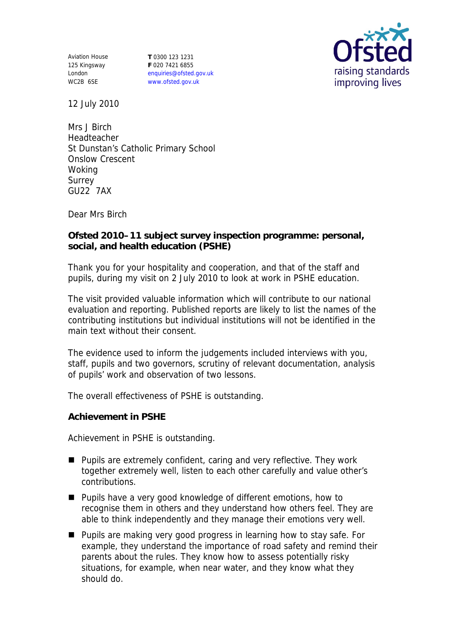Aviation House 125 Kingsway London WC2B 6SE

**T** 0300 123 1231 **F** 020 7421 6855 enquiries@ofsted.gov.uk www.ofsted.gov.uk



12 July 2010

Mrs J Birch Headteacher St Dunstan's Catholic Primary School Onslow Crescent Woking Surrey GU22 7AX

Dear Mrs Birch

**Ofsted 2010–11 subject survey inspection programme: personal, social, and health education (PSHE)** 

Thank you for your hospitality and cooperation, and that of the staff and pupils, during my visit on 2 July 2010 to look at work in PSHE education.

The visit provided valuable information which will contribute to our national evaluation and reporting. Published reports are likely to list the names of the contributing institutions but individual institutions will not be identified in the main text without their consent.

The evidence used to inform the judgements included interviews with you, staff, pupils and two governors, scrutiny of relevant documentation, analysis of pupils' work and observation of two lessons.

The overall effectiveness of PSHE is outstanding.

**Achievement in PSHE**

Achievement in PSHE is outstanding.

- Pupils are extremely confident, caring and very reflective. They work together extremely well, listen to each other carefully and value other's contributions.
- **Pupils have a very good knowledge of different emotions, how to** recognise them in others and they understand how others feel. They are able to think independently and they manage their emotions very well.
- Pupils are making very good progress in learning how to stay safe. For example, they understand the importance of road safety and remind their parents about the rules. They know how to assess potentially risky situations, for example, when near water, and they know what they should do.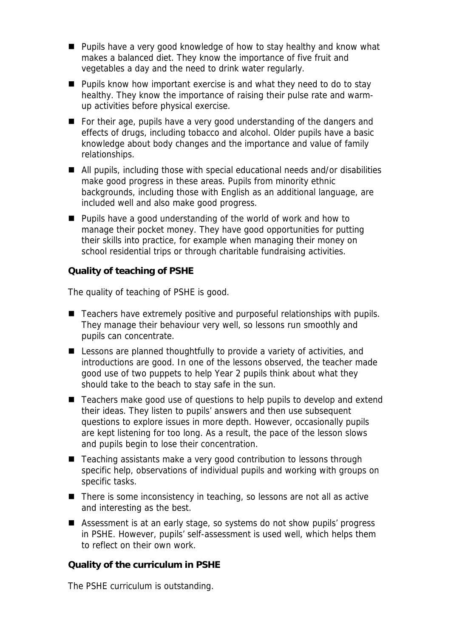- **Pupils have a very good knowledge of how to stay healthy and know what** makes a balanced diet. They know the importance of five fruit and vegetables a day and the need to drink water regularly.
- **Pupils know how important exercise is and what they need to do to stay** healthy. They know the importance of raising their pulse rate and warmup activities before physical exercise.
- For their age, pupils have a very good understanding of the dangers and effects of drugs, including tobacco and alcohol. Older pupils have a basic knowledge about body changes and the importance and value of family relationships.
- All pupils, including those with special educational needs and/or disabilities make good progress in these areas. Pupils from minority ethnic backgrounds, including those with English as an additional language, are included well and also make good progress.
- **Pupils have a good understanding of the world of work and how to** manage their pocket money. They have good opportunities for putting their skills into practice, for example when managing their money on school residential trips or through charitable fundraising activities.

**Quality of teaching of PSHE**

The quality of teaching of PSHE is good.

- Teachers have extremely positive and purposeful relationships with pupils. They manage their behaviour very well, so lessons run smoothly and pupils can concentrate.
- Lessons are planned thoughtfully to provide a variety of activities, and introductions are good. In one of the lessons observed, the teacher made good use of two puppets to help Year 2 pupils think about what they should take to the beach to stay safe in the sun.
- Teachers make good use of questions to help pupils to develop and extend their ideas. They listen to pupils' answers and then use subsequent questions to explore issues in more depth. However, occasionally pupils are kept listening for too long. As a result, the pace of the lesson slows and pupils begin to lose their concentration.
- Teaching assistants make a very good contribution to lessons through specific help, observations of individual pupils and working with groups on specific tasks.
- There is some inconsistency in teaching, so lessons are not all as active and interesting as the best.
- Assessment is at an early stage, so systems do not show pupils' progress in PSHE. However, pupils' self-assessment is used well, which helps them to reflect on their own work.

**Quality of the curriculum in PSHE**

The PSHE curriculum is outstanding.